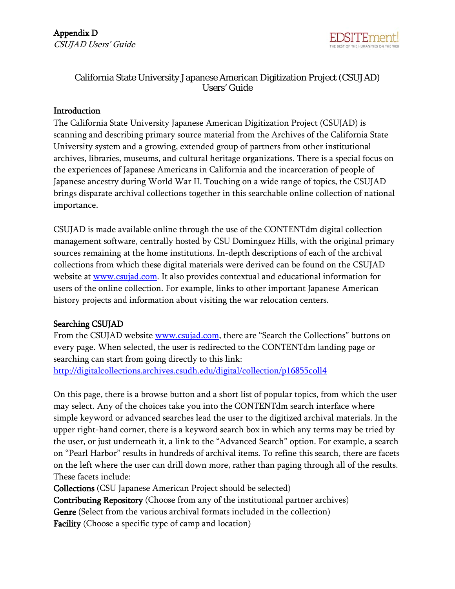

# California State University Japanese American Digitization Project (CSUJAD) Users' Guide

#### **Introduction**

The California State University Japanese American Digitization Project (CSUJAD) is scanning and describing primary source material from the Archives of the California State University system and a growing, extended group of partners from other institutional archives, libraries, museums, and cultural heritage organizations. There is a special focus on the experiences of Japanese Americans in California and the incarceration of people of Japanese ancestry during World War II. Touching on a wide range of topics, the CSUJAD brings disparate archival collections together in this searchable online collection of national importance.

CSUJAD is made available online through the use of the CONTENTdm digital collection management software, centrally hosted by CSU Dominguez Hills, with the original primary sources remaining at the home institutions. In-depth descriptions of each of the archival collections from which these digital materials were derived can be found on the CSUJAD website at [www.csujad.com.](http://www.csujad.com/) It also provides contextual and educational information for users of the online collection. For example, links to other important Japanese American history projects and information about visiting the war relocation centers.

# Searching CSUJAD

From the CSUJAD website **www.csujad.com**, there are "Search the Collections" buttons on every page. When selected, the user is redirected to the CONTENTdm landing page or searching can start from going directly to this link: <http://digitalcollections.archives.csudh.edu/digital/collection/p16855coll4>

On this page, there is a browse button and a short list of popular topics, from which the user may select. Any of the choices take you into the CONTENTdm search interface where simple keyword or advanced searches lead the user to the digitized archival materials. In the upper right-hand corner, there is a keyword search box in which any terms may be tried by the user, or just underneath it, a link to the "Advanced Search" option. For example, a search on "Pearl Harbor" results in hundreds of archival items. To refine this search, there are facets on the left where the user can drill down more, rather than paging through all of the results. These facets include:

Collections (CSU Japanese American Project should be selected)

Contributing Repository (Choose from any of the institutional partner archives) Genre (Select from the various archival formats included in the collection)

Facility (Choose a specific type of camp and location)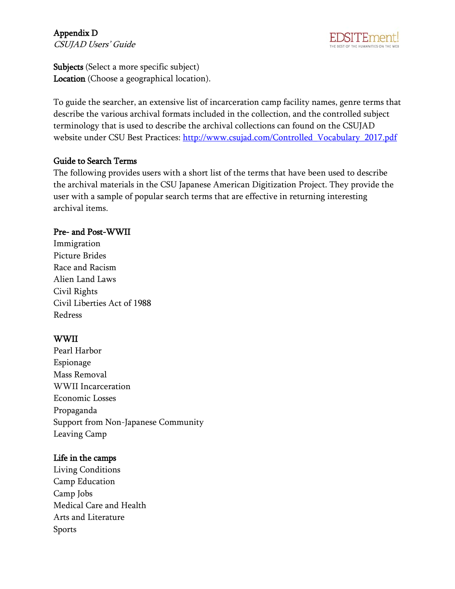# Appendix D CSUJAD Users' Guide



Subjects (Select a more specific subject) Location (Choose a geographical location).

To guide the searcher, an extensive list of incarceration camp facility names, genre terms that describe the various archival formats included in the collection, and the controlled subject terminology that is used to describe the archival collections can found on the CSUJAD website under CSU Best Practices: [http://www.csujad.com/Controlled\\_Vocabulary\\_2017.pdf](http://www.csujad.com/Controlled_Vocabulary_2017.pdf)

#### Guide to Search Terms

The following provides users with a short list of the terms that have been used to describe the archival materials in the CSU Japanese American Digitization Project. They provide the user with a sample of popular search terms that are effective in returning interesting archival items.

#### Pre- and Post-WWII

Immigration Picture Brides Race and Racism Alien Land Laws Civil Rights Civil Liberties Act of 1988 Redress

# WWII

Pearl Harbor Espionage Mass Removal WWII Incarceration Economic Losses Propaganda Support from Non-Japanese Community Leaving Camp

# Life in the camps

Living Conditions Camp Education Camp Jobs Medical Care and Health Arts and Literature Sports